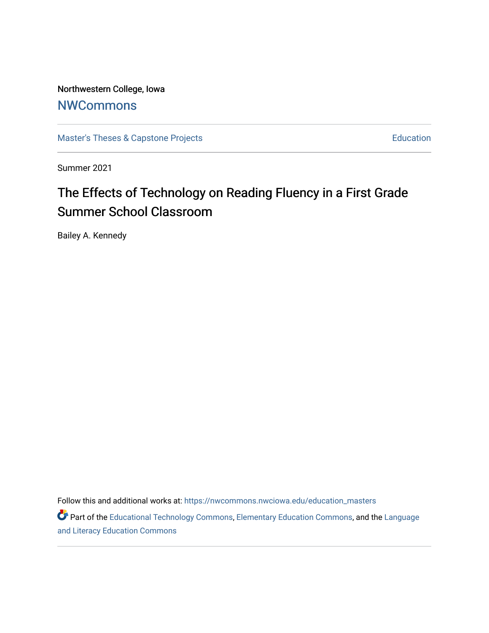Northwestern College, Iowa **[NWCommons](https://nwcommons.nwciowa.edu/)** 

[Master's Theses & Capstone Projects](https://nwcommons.nwciowa.edu/education_masters) **Education** Education

Summer 2021

# The Effects of Technology on Reading Fluency in a First Grade Summer School Classroom

Bailey A. Kennedy

Follow this and additional works at: [https://nwcommons.nwciowa.edu/education\\_masters](https://nwcommons.nwciowa.edu/education_masters?utm_source=nwcommons.nwciowa.edu%2Feducation_masters%2F328&utm_medium=PDF&utm_campaign=PDFCoverPages)

Part of the [Educational Technology Commons,](http://network.bepress.com/hgg/discipline/1415?utm_source=nwcommons.nwciowa.edu%2Feducation_masters%2F328&utm_medium=PDF&utm_campaign=PDFCoverPages) [Elementary Education Commons](http://network.bepress.com/hgg/discipline/1378?utm_source=nwcommons.nwciowa.edu%2Feducation_masters%2F328&utm_medium=PDF&utm_campaign=PDFCoverPages), and the [Language](http://network.bepress.com/hgg/discipline/1380?utm_source=nwcommons.nwciowa.edu%2Feducation_masters%2F328&utm_medium=PDF&utm_campaign=PDFCoverPages) [and Literacy Education Commons](http://network.bepress.com/hgg/discipline/1380?utm_source=nwcommons.nwciowa.edu%2Feducation_masters%2F328&utm_medium=PDF&utm_campaign=PDFCoverPages)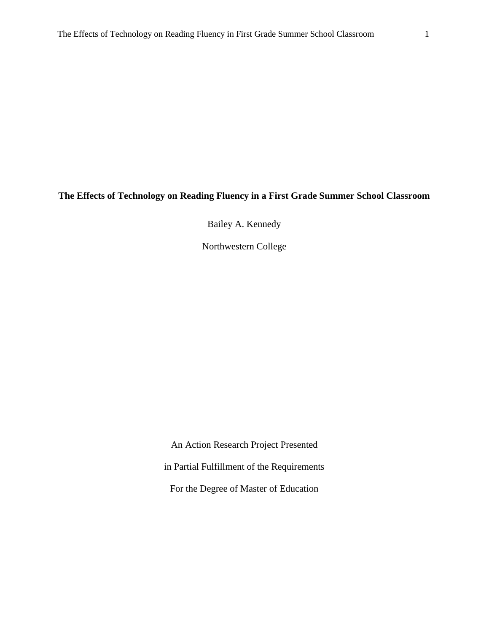# **The Effects of Technology on Reading Fluency in a First Grade Summer School Classroom**

Bailey A. Kennedy

Northwestern College

An Action Research Project Presented in Partial Fulfillment of the Requirements For the Degree of Master of Education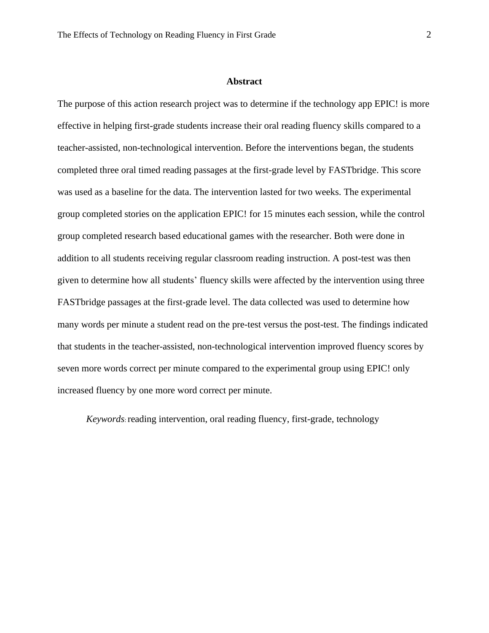#### **Abstract**

The purpose of this action research project was to determine if the technology app EPIC! is more effective in helping first-grade students increase their oral reading fluency skills compared to a teacher-assisted, non-technological intervention. Before the interventions began, the students completed three oral timed reading passages at the first-grade level by FASTbridge. This score was used as a baseline for the data. The intervention lasted for two weeks. The experimental group completed stories on the application EPIC! for 15 minutes each session, while the control group completed research based educational games with the researcher. Both were done in addition to all students receiving regular classroom reading instruction. A post-test was then given to determine how all students' fluency skills were affected by the intervention using three FASTbridge passages at the first-grade level. The data collected was used to determine how many words per minute a student read on the pre-test versus the post-test. The findings indicated that students in the teacher-assisted, non-technological intervention improved fluency scores by seven more words correct per minute compared to the experimental group using EPIC! only increased fluency by one more word correct per minute.

*Keywords*: reading intervention, oral reading fluency, first-grade, technology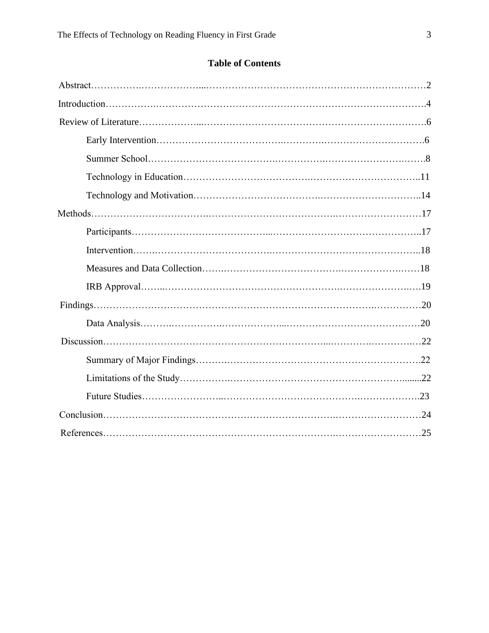# **Table of Contents**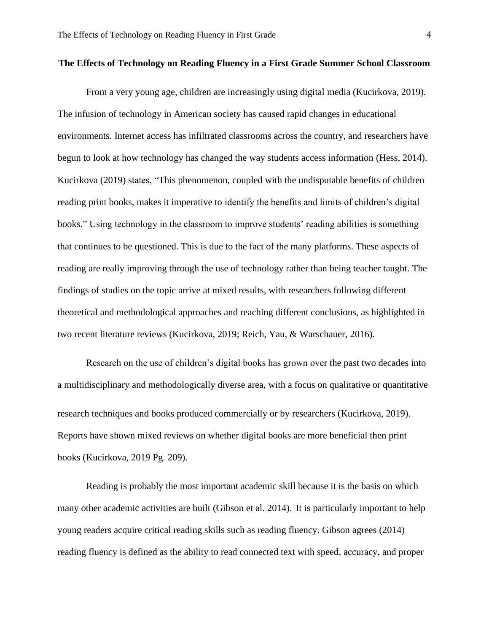#### **The Effects of Technology on Reading Fluency in a First Grade Summer School Classroom**

From a very young age, children are increasingly using digital media (Kucirkova, 2019). The infusion of technology in American society has caused rapid changes in educational environments. Internet access has infiltrated classrooms across the country, and researchers have begun to look at how technology has changed the way students access information (Hess, 2014). Kucirkova (2019) states, "This phenomenon, coupled with the undisputable benefits of children reading print books, makes it imperative to identify the benefits and limits of children's digital books." Using technology in the classroom to improve students' reading abilities is something that continues to be questioned. This is due to the fact of the many platforms. These aspects of reading are really improving through the use of technology rather than being teacher taught. The findings of studies on the topic arrive at mixed results, with researchers following different theoretical and methodological approaches and reaching different conclusions, as highlighted in two recent literature reviews (Kucirkova, 2019; Reich, Yau, & Warschauer, 2016).

Research on the use of children's digital books has grown over the past two decades into a multidisciplinary and methodologically diverse area, with a focus on qualitative or quantitative research techniques and books produced commercially or by researchers (Kucirkova, 2019). Reports have shown mixed reviews on whether digital books are more beneficial then print books (Kucirkova, 2019 Pg. 209).

Reading is probably the most important academic skill because it is the basis on which many other academic activities are built (Gibson et al. 2014). It is particularly important to help young readers acquire critical reading skills such as reading fluency. Gibson agrees (2014) reading fluency is defined as the ability to read connected text with speed, accuracy, and proper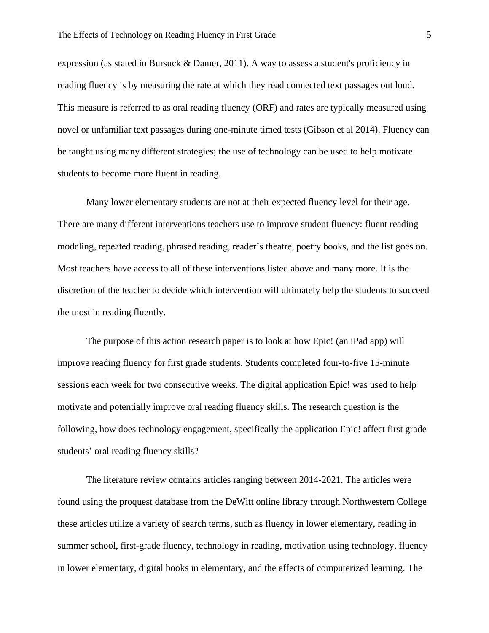expression (as stated in Bursuck & Damer, 2011). A way to assess a student's proficiency in reading fluency is by measuring the rate at which they read connected text passages out loud. This measure is referred to as oral reading fluency (ORF) and rates are typically measured using novel or unfamiliar text passages during one-minute timed tests (Gibson et al 2014). Fluency can be taught using many different strategies; the use of technology can be used to help motivate students to become more fluent in reading.

Many lower elementary students are not at their expected fluency level for their age. There are many different interventions teachers use to improve student fluency: fluent reading modeling, repeated reading, phrased reading, reader's theatre, poetry books, and the list goes on. Most teachers have access to all of these interventions listed above and many more. It is the discretion of the teacher to decide which intervention will ultimately help the students to succeed the most in reading fluently.

The purpose of this action research paper is to look at how Epic! (an iPad app) will improve reading fluency for first grade students. Students completed four-to-five 15-minute sessions each week for two consecutive weeks. The digital application Epic! was used to help motivate and potentially improve oral reading fluency skills. The research question is the following, how does technology engagement, specifically the application Epic! affect first grade students' oral reading fluency skills?

The literature review contains articles ranging between 2014-2021. The articles were found using the proquest database from the DeWitt online library through Northwestern College these articles utilize a variety of search terms, such as fluency in lower elementary, reading in summer school, first-grade fluency, technology in reading, motivation using technology, fluency in lower elementary, digital books in elementary, and the effects of computerized learning. The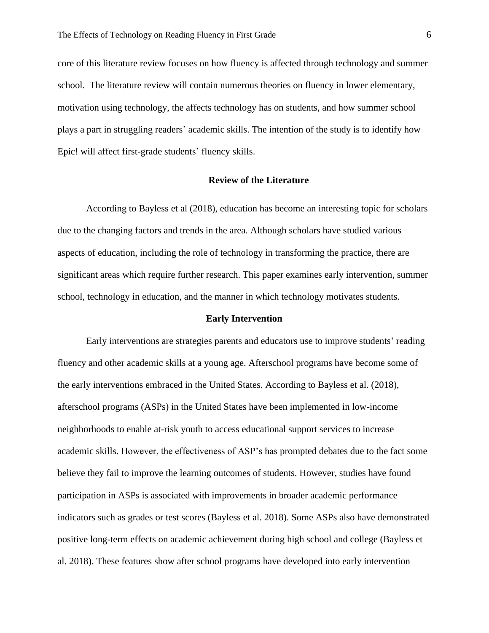core of this literature review focuses on how fluency is affected through technology and summer school. The literature review will contain numerous theories on fluency in lower elementary, motivation using technology, the affects technology has on students, and how summer school plays a part in struggling readers' academic skills. The intention of the study is to identify how Epic! will affect first-grade students' fluency skills.

## **Review of the Literature**

According to Bayless et al (2018), education has become an interesting topic for scholars due to the changing factors and trends in the area. Although scholars have studied various aspects of education, including the role of technology in transforming the practice, there are significant areas which require further research. This paper examines early intervention, summer school, technology in education, and the manner in which technology motivates students.

#### **Early Intervention**

Early interventions are strategies parents and educators use to improve students' reading fluency and other academic skills at a young age. Afterschool programs have become some of the early interventions embraced in the United States. According to Bayless et al. (2018), afterschool programs (ASPs) in the United States have been implemented in low-income neighborhoods to enable at-risk youth to access educational support services to increase academic skills. However, the effectiveness of ASP's has prompted debates due to the fact some believe they fail to improve the learning outcomes of students. However, studies have found participation in ASPs is associated with improvements in broader academic performance indicators such as grades or test scores (Bayless et al. 2018). Some ASPs also have demonstrated positive long-term effects on academic achievement during high school and college (Bayless et al. 2018). These features show after school programs have developed into early intervention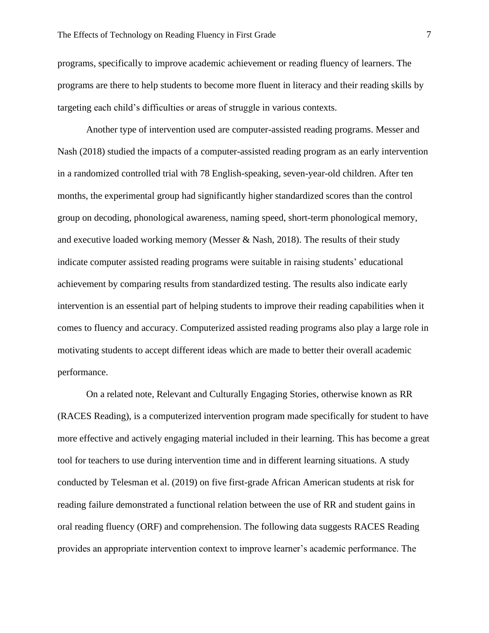programs, specifically to improve academic achievement or reading fluency of learners. The programs are there to help students to become more fluent in literacy and their reading skills by targeting each child's difficulties or areas of struggle in various contexts.

Another type of intervention used are computer-assisted reading programs. Messer and Nash (2018) studied the impacts of a computer-assisted reading program as an early intervention in a randomized controlled trial with 78 English-speaking, seven-year-old children. After ten months, the experimental group had significantly higher standardized scores than the control group on decoding, phonological awareness, naming speed, short-term phonological memory, and executive loaded working memory (Messer & Nash, 2018). The results of their study indicate computer assisted reading programs were suitable in raising students' educational achievement by comparing results from standardized testing. The results also indicate early intervention is an essential part of helping students to improve their reading capabilities when it comes to fluency and accuracy. Computerized assisted reading programs also play a large role in motivating students to accept different ideas which are made to better their overall academic performance.

On a related note, Relevant and Culturally Engaging Stories, otherwise known as RR (RACES Reading), is a computerized intervention program made specifically for student to have more effective and actively engaging material included in their learning. This has become a great tool for teachers to use during intervention time and in different learning situations. A study conducted by Telesman et al. (2019) on five first-grade African American students at risk for reading failure demonstrated a functional relation between the use of RR and student gains in oral reading fluency (ORF) and comprehension. The following data suggests RACES Reading provides an appropriate intervention context to improve learner's academic performance. The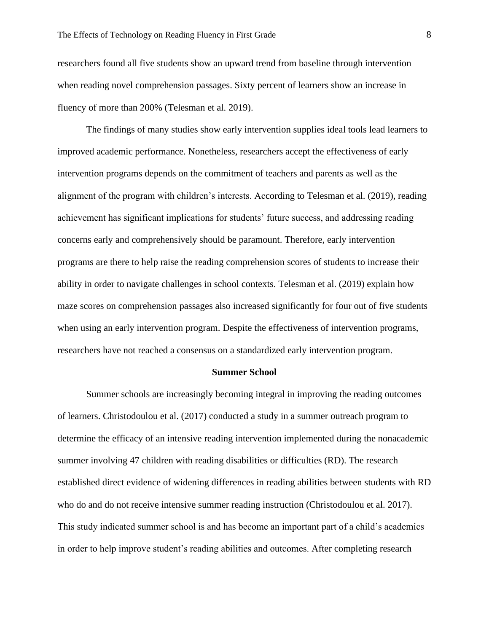researchers found all five students show an upward trend from baseline through intervention when reading novel comprehension passages. Sixty percent of learners show an increase in fluency of more than 200% (Telesman et al. 2019).

The findings of many studies show early intervention supplies ideal tools lead learners to improved academic performance. Nonetheless, researchers accept the effectiveness of early intervention programs depends on the commitment of teachers and parents as well as the alignment of the program with children's interests. According to Telesman et al. (2019), reading achievement has significant implications for students' future success, and addressing reading concerns early and comprehensively should be paramount. Therefore, early intervention programs are there to help raise the reading comprehension scores of students to increase their ability in order to navigate challenges in school contexts. Telesman et al. (2019) explain how maze scores on comprehension passages also increased significantly for four out of five students when using an early intervention program. Despite the effectiveness of intervention programs, researchers have not reached a consensus on a standardized early intervention program.

#### **Summer School**

Summer schools are increasingly becoming integral in improving the reading outcomes of learners. Christodoulou et al. (2017) conducted a study in a summer outreach program to determine the efficacy of an intensive reading intervention implemented during the nonacademic summer involving 47 children with reading disabilities or difficulties (RD). The research established direct evidence of widening differences in reading abilities between students with RD who do and do not receive intensive summer reading instruction (Christodoulou et al. 2017). This study indicated summer school is and has become an important part of a child's academics in order to help improve student's reading abilities and outcomes. After completing research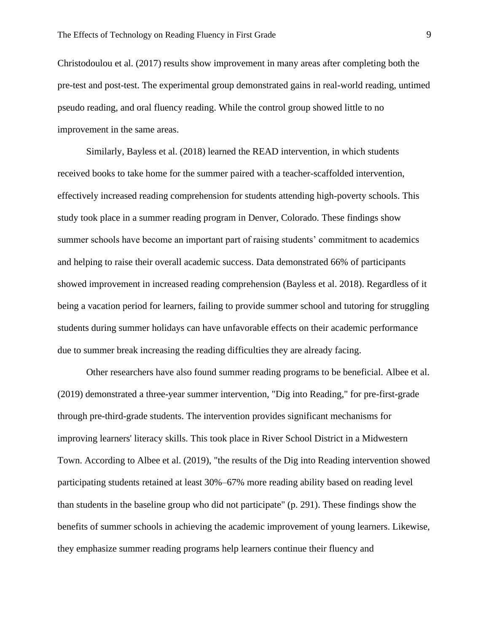Christodoulou et al. (2017) results show improvement in many areas after completing both the pre-test and post-test. The experimental group demonstrated gains in real-world reading, untimed pseudo reading, and oral fluency reading. While the control group showed little to no improvement in the same areas.

Similarly, Bayless et al. (2018) learned the READ intervention, in which students received books to take home for the summer paired with a teacher-scaffolded intervention, effectively increased reading comprehension for students attending high-poverty schools. This study took place in a summer reading program in Denver, Colorado. These findings show summer schools have become an important part of raising students' commitment to academics and helping to raise their overall academic success. Data demonstrated 66% of participants showed improvement in increased reading comprehension (Bayless et al. 2018). Regardless of it being a vacation period for learners, failing to provide summer school and tutoring for struggling students during summer holidays can have unfavorable effects on their academic performance due to summer break increasing the reading difficulties they are already facing.

Other researchers have also found summer reading programs to be beneficial. Albee et al. (2019) demonstrated a three-year summer intervention, "Dig into Reading," for pre-first-grade through pre-third-grade students. The intervention provides significant mechanisms for improving learners' literacy skills. This took place in River School District in a Midwestern Town. According to Albee et al. (2019), "the results of the Dig into Reading intervention showed participating students retained at least 30%–67% more reading ability based on reading level than students in the baseline group who did not participate" (p. 291). These findings show the benefits of summer schools in achieving the academic improvement of young learners. Likewise, they emphasize summer reading programs help learners continue their fluency and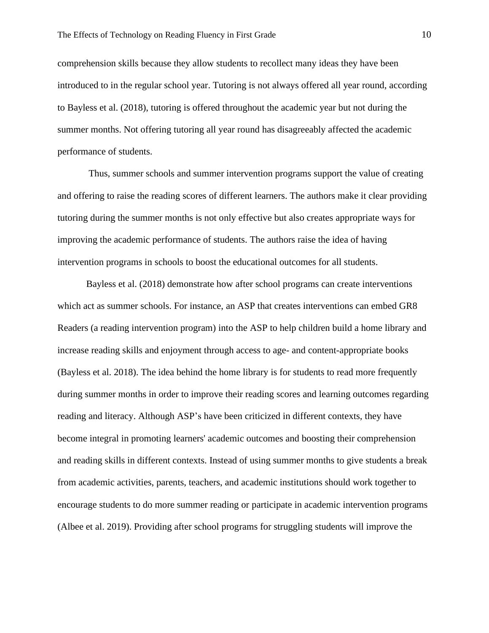comprehension skills because they allow students to recollect many ideas they have been introduced to in the regular school year. Tutoring is not always offered all year round, according to Bayless et al. (2018), tutoring is offered throughout the academic year but not during the summer months. Not offering tutoring all year round has disagreeably affected the academic performance of students.

Thus, summer schools and summer intervention programs support the value of creating and offering to raise the reading scores of different learners. The authors make it clear providing tutoring during the summer months is not only effective but also creates appropriate ways for improving the academic performance of students. The authors raise the idea of having intervention programs in schools to boost the educational outcomes for all students.

Bayless et al. (2018) demonstrate how after school programs can create interventions which act as summer schools. For instance, an ASP that creates interventions can embed GR8 Readers (a reading intervention program) into the ASP to help children build a home library and increase reading skills and enjoyment through access to age- and content-appropriate books (Bayless et al. 2018). The idea behind the home library is for students to read more frequently during summer months in order to improve their reading scores and learning outcomes regarding reading and literacy. Although ASP's have been criticized in different contexts, they have become integral in promoting learners' academic outcomes and boosting their comprehension and reading skills in different contexts. Instead of using summer months to give students a break from academic activities, parents, teachers, and academic institutions should work together to encourage students to do more summer reading or participate in academic intervention programs (Albee et al. 2019). Providing after school programs for struggling students will improve the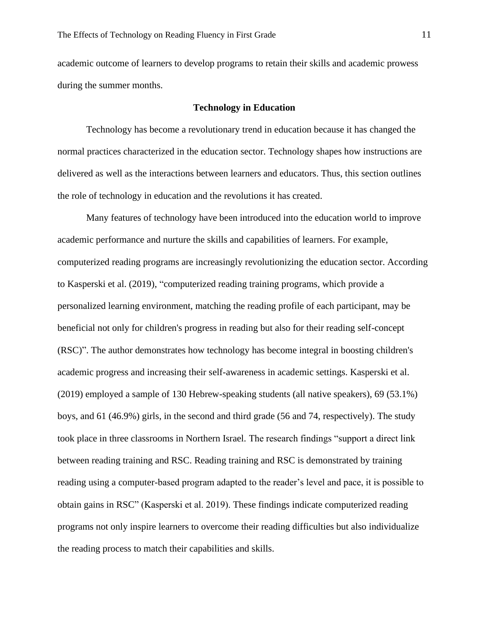academic outcome of learners to develop programs to retain their skills and academic prowess during the summer months.

#### **Technology in Education**

Technology has become a revolutionary trend in education because it has changed the normal practices characterized in the education sector. Technology shapes how instructions are delivered as well as the interactions between learners and educators. Thus, this section outlines the role of technology in education and the revolutions it has created.

Many features of technology have been introduced into the education world to improve academic performance and nurture the skills and capabilities of learners. For example, computerized reading programs are increasingly revolutionizing the education sector. According to Kasperski et al. (2019), "computerized reading training programs, which provide a personalized learning environment, matching the reading profile of each participant, may be beneficial not only for children's progress in reading but also for their reading self-concept (RSC)". The author demonstrates how technology has become integral in boosting children's academic progress and increasing their self-awareness in academic settings. Kasperski et al. (2019) employed a sample of 130 Hebrew-speaking students (all native speakers), 69 (53.1%) boys, and 61 (46.9%) girls, in the second and third grade (56 and 74, respectively). The study took place in three classrooms in Northern Israel. The research findings "support a direct link between reading training and RSC. Reading training and RSC is demonstrated by training reading using a computer-based program adapted to the reader's level and pace, it is possible to obtain gains in RSC" (Kasperski et al. 2019). These findings indicate computerized reading programs not only inspire learners to overcome their reading difficulties but also individualize the reading process to match their capabilities and skills.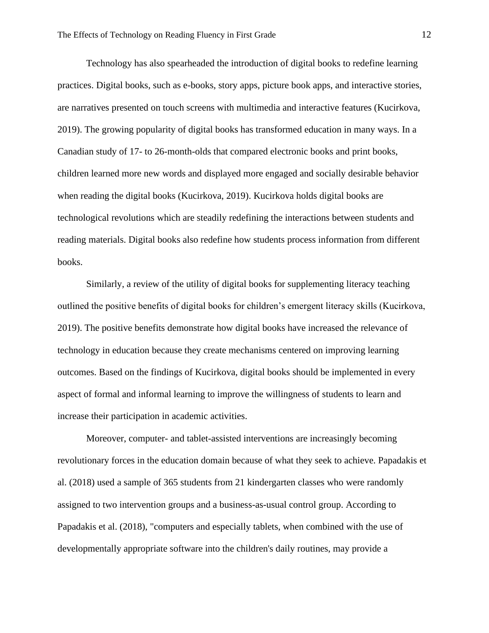Technology has also spearheaded the introduction of digital books to redefine learning practices. Digital books, such as e-books, story apps, picture book apps, and interactive stories, are narratives presented on touch screens with multimedia and interactive features (Kucirkova, 2019). The growing popularity of digital books has transformed education in many ways. In a Canadian study of 17- to 26-month-olds that compared electronic books and print books, children learned more new words and displayed more engaged and socially desirable behavior when reading the digital books (Kucirkova, 2019). Kucirkova holds digital books are technological revolutions which are steadily redefining the interactions between students and reading materials. Digital books also redefine how students process information from different books.

Similarly, a review of the utility of digital books for supplementing literacy teaching outlined the positive benefits of digital books for children's emergent literacy skills (Kucirkova, 2019). The positive benefits demonstrate how digital books have increased the relevance of technology in education because they create mechanisms centered on improving learning outcomes. Based on the findings of Kucirkova, digital books should be implemented in every aspect of formal and informal learning to improve the willingness of students to learn and increase their participation in academic activities.

Moreover, computer- and tablet-assisted interventions are increasingly becoming revolutionary forces in the education domain because of what they seek to achieve. Papadakis et al. (2018) used a sample of 365 students from 21 kindergarten classes who were randomly assigned to two intervention groups and a business-as-usual control group. According to Papadakis et al. (2018), "computers and especially tablets, when combined with the use of developmentally appropriate software into the children's daily routines, may provide a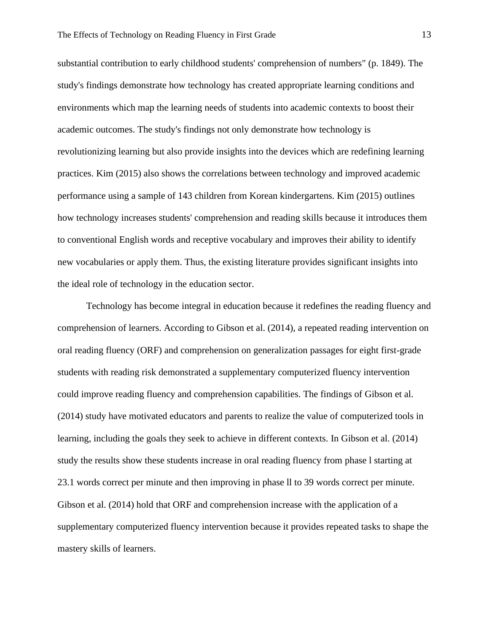substantial contribution to early childhood students' comprehension of numbers" (p. 1849). The study's findings demonstrate how technology has created appropriate learning conditions and environments which map the learning needs of students into academic contexts to boost their academic outcomes. The study's findings not only demonstrate how technology is revolutionizing learning but also provide insights into the devices which are redefining learning practices. Kim (2015) also shows the correlations between technology and improved academic performance using a sample of 143 children from Korean kindergartens. Kim (2015) outlines how technology increases students' comprehension and reading skills because it introduces them to conventional English words and receptive vocabulary and improves their ability to identify new vocabularies or apply them. Thus, the existing literature provides significant insights into the ideal role of technology in the education sector.

Technology has become integral in education because it redefines the reading fluency and comprehension of learners. According to Gibson et al. (2014), a repeated reading intervention on oral reading fluency (ORF) and comprehension on generalization passages for eight first-grade students with reading risk demonstrated a supplementary computerized fluency intervention could improve reading fluency and comprehension capabilities. The findings of Gibson et al. (2014) study have motivated educators and parents to realize the value of computerized tools in learning, including the goals they seek to achieve in different contexts. In Gibson et al. (2014) study the results show these students increase in oral reading fluency from phase l starting at 23.1 words correct per minute and then improving in phase ll to 39 words correct per minute. Gibson et al. (2014) hold that ORF and comprehension increase with the application of a supplementary computerized fluency intervention because it provides repeated tasks to shape the mastery skills of learners.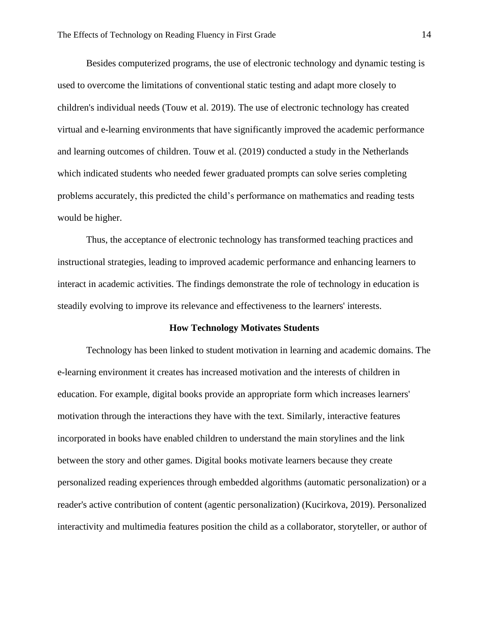Besides computerized programs, the use of electronic technology and dynamic testing is used to overcome the limitations of conventional static testing and adapt more closely to children's individual needs (Touw et al. 2019). The use of electronic technology has created virtual and e-learning environments that have significantly improved the academic performance and learning outcomes of children. Touw et al. (2019) conducted a study in the Netherlands which indicated students who needed fewer graduated prompts can solve series completing problems accurately, this predicted the child's performance on mathematics and reading tests would be higher.

Thus, the acceptance of electronic technology has transformed teaching practices and instructional strategies, leading to improved academic performance and enhancing learners to interact in academic activities. The findings demonstrate the role of technology in education is steadily evolving to improve its relevance and effectiveness to the learners' interests.

#### **How Technology Motivates Students**

Technology has been linked to student motivation in learning and academic domains. The e-learning environment it creates has increased motivation and the interests of children in education. For example, digital books provide an appropriate form which increases learners' motivation through the interactions they have with the text. Similarly, interactive features incorporated in books have enabled children to understand the main storylines and the link between the story and other games. Digital books motivate learners because they create personalized reading experiences through embedded algorithms (automatic personalization) or a reader's active contribution of content (agentic personalization) (Kucirkova, 2019). Personalized interactivity and multimedia features position the child as a collaborator, storyteller, or author of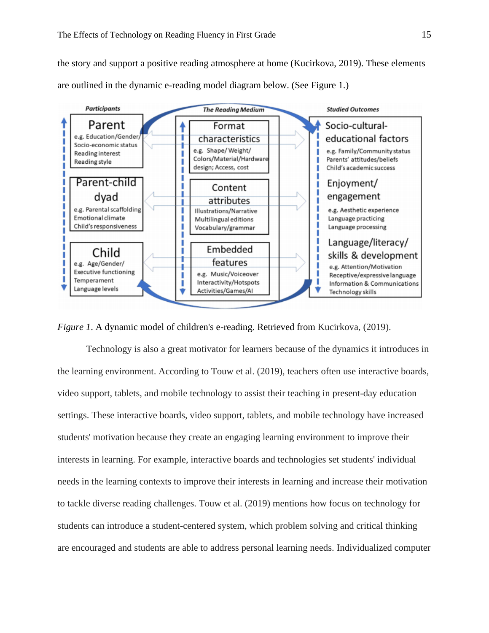the story and support a positive reading atmosphere at home (Kucirkova, 2019). These elements are outlined in the dynamic e-reading model diagram below. (See Figure 1.)



*Figure 1.* A dynamic model of children's e-reading. Retrieved from Kucirkova, (2019).

Technology is also a great motivator for learners because of the dynamics it introduces in the learning environment. According to Touw et al. (2019), teachers often use interactive boards, video support, tablets, and mobile technology to assist their teaching in present-day education settings. These interactive boards, video support, tablets, and mobile technology have increased students' motivation because they create an engaging learning environment to improve their interests in learning. For example, interactive boards and technologies set students' individual needs in the learning contexts to improve their interests in learning and increase their motivation to tackle diverse reading challenges. Touw et al. (2019) mentions how focus on technology for students can introduce a student-centered system, which problem solving and critical thinking are encouraged and students are able to address personal learning needs. Individualized computer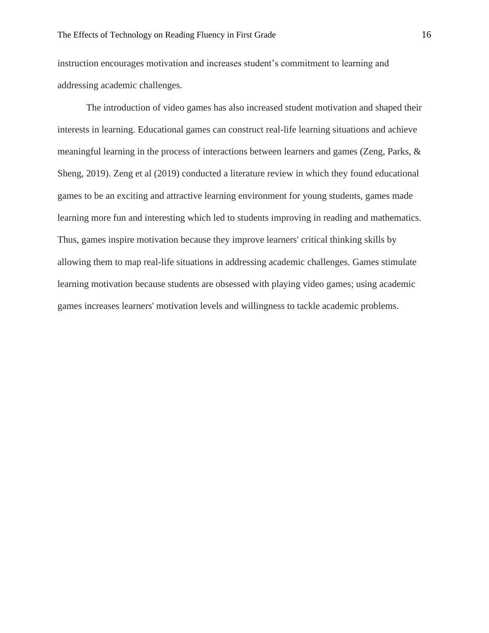instruction encourages motivation and increases student's commitment to learning and addressing academic challenges.

The introduction of video games has also increased student motivation and shaped their interests in learning. Educational games can construct real-life learning situations and achieve meaningful learning in the process of interactions between learners and games (Zeng, Parks, & Sheng, 2019). Zeng et al (2019) conducted a literature review in which they found educational games to be an exciting and attractive learning environment for young students, games made learning more fun and interesting which led to students improving in reading and mathematics. Thus, games inspire motivation because they improve learners' critical thinking skills by allowing them to map real-life situations in addressing academic challenges. Games stimulate learning motivation because students are obsessed with playing video games; using academic games increases learners' motivation levels and willingness to tackle academic problems.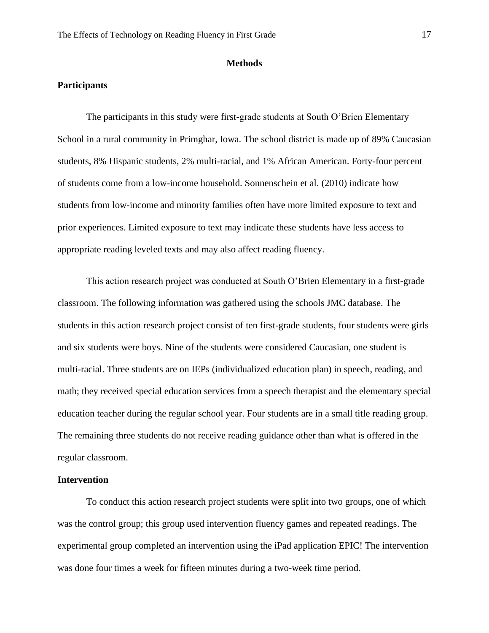#### **Methods**

# **Participants**

The participants in this study were first-grade students at South O'Brien Elementary School in a rural community in Primghar, Iowa. The school district is made up of 89% Caucasian students, 8% Hispanic students, 2% multi-racial, and 1% African American. Forty-four percent of students come from a low-income household. Sonnenschein et al. (2010) indicate how students from low-income and minority families often have more limited exposure to text and prior experiences. Limited exposure to text may indicate these students have less access to appropriate reading leveled texts and may also affect reading fluency.

This action research project was conducted at South O'Brien Elementary in a first-grade classroom. The following information was gathered using the schools JMC database. The students in this action research project consist of ten first-grade students, four students were girls and six students were boys. Nine of the students were considered Caucasian, one student is multi-racial. Three students are on IEPs (individualized education plan) in speech, reading, and math; they received special education services from a speech therapist and the elementary special education teacher during the regular school year. Four students are in a small title reading group. The remaining three students do not receive reading guidance other than what is offered in the regular classroom.

#### **Intervention**

To conduct this action research project students were split into two groups, one of which was the control group; this group used intervention fluency games and repeated readings. The experimental group completed an intervention using the iPad application EPIC! The intervention was done four times a week for fifteen minutes during a two-week time period.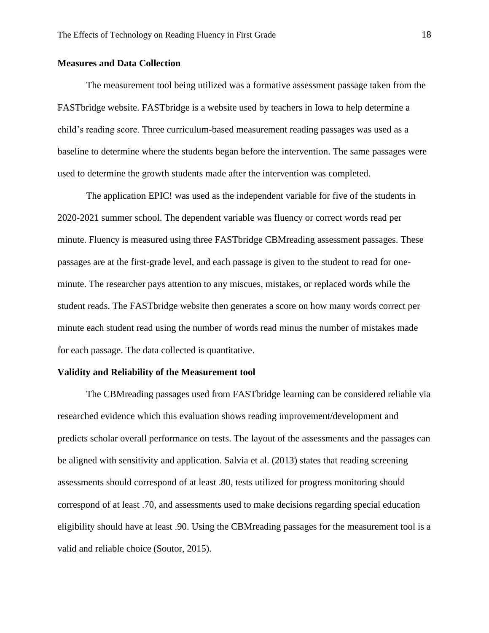#### **Measures and Data Collection**

The measurement tool being utilized was a formative assessment passage taken from the FASTbridge website. FASTbridge is a website used by teachers in Iowa to help determine a child's reading score. Three curriculum-based measurement reading passages was used as a baseline to determine where the students began before the intervention. The same passages were used to determine the growth students made after the intervention was completed.

The application EPIC! was used as the independent variable for five of the students in 2020-2021 summer school. The dependent variable was fluency or correct words read per minute. Fluency is measured using three FASTbridge CBMreading assessment passages. These passages are at the first-grade level, and each passage is given to the student to read for oneminute. The researcher pays attention to any miscues, mistakes, or replaced words while the student reads. The FASTbridge website then generates a score on how many words correct per minute each student read using the number of words read minus the number of mistakes made for each passage. The data collected is quantitative.

#### **Validity and Reliability of the Measurement tool**

The CBMreading passages used from FASTbridge learning can be considered reliable via researched evidence which this evaluation shows reading improvement/development and predicts scholar overall performance on tests. The layout of the assessments and the passages can be aligned with sensitivity and application. Salvia et al. (2013) states that reading screening assessments should correspond of at least .80, tests utilized for progress monitoring should correspond of at least .70, and assessments used to make decisions regarding special education eligibility should have at least .90. Using the CBMreading passages for the measurement tool is a valid and reliable choice (Soutor, 2015).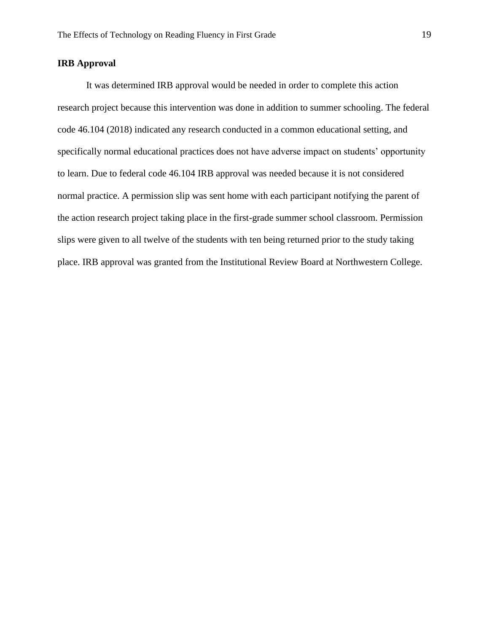# **IRB Approval**

It was determined IRB approval would be needed in order to complete this action research project because this intervention was done in addition to summer schooling. The federal code 46.104 (2018) indicated any research conducted in a common educational setting, and specifically normal educational practices does not have adverse impact on students' opportunity to learn. Due to federal code 46.104 IRB approval was needed because it is not considered normal practice. A permission slip was sent home with each participant notifying the parent of the action research project taking place in the first-grade summer school classroom. Permission slips were given to all twelve of the students with ten being returned prior to the study taking place. IRB approval was granted from the Institutional Review Board at Northwestern College.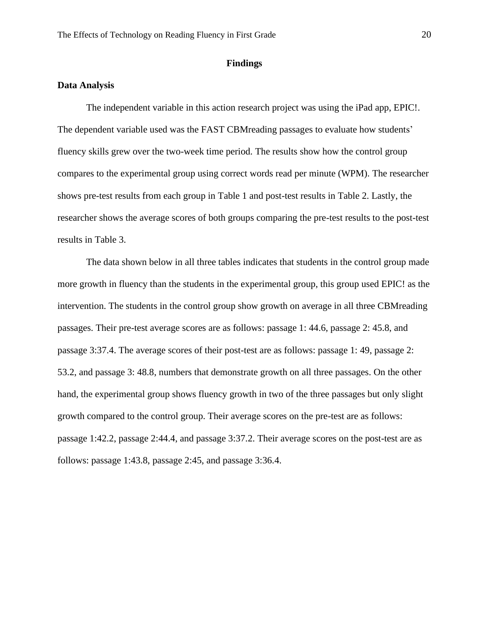#### **Findings**

## **Data Analysis**

The independent variable in this action research project was using the iPad app, EPIC!. The dependent variable used was the FAST CBMreading passages to evaluate how students' fluency skills grew over the two-week time period. The results show how the control group compares to the experimental group using correct words read per minute (WPM). The researcher shows pre-test results from each group in Table 1 and post-test results in Table 2. Lastly, the researcher shows the average scores of both groups comparing the pre-test results to the post-test results in Table 3.

The data shown below in all three tables indicates that students in the control group made more growth in fluency than the students in the experimental group, this group used EPIC! as the intervention. The students in the control group show growth on average in all three CBMreading passages. Their pre-test average scores are as follows: passage 1: 44.6, passage 2: 45.8, and passage 3:37.4. The average scores of their post-test are as follows: passage 1: 49, passage 2: 53.2, and passage 3: 48.8, numbers that demonstrate growth on all three passages. On the other hand, the experimental group shows fluency growth in two of the three passages but only slight growth compared to the control group. Their average scores on the pre-test are as follows: passage 1:42.2, passage 2:44.4, and passage 3:37.2. Their average scores on the post-test are as follows: passage 1:43.8, passage 2:45, and passage 3:36.4.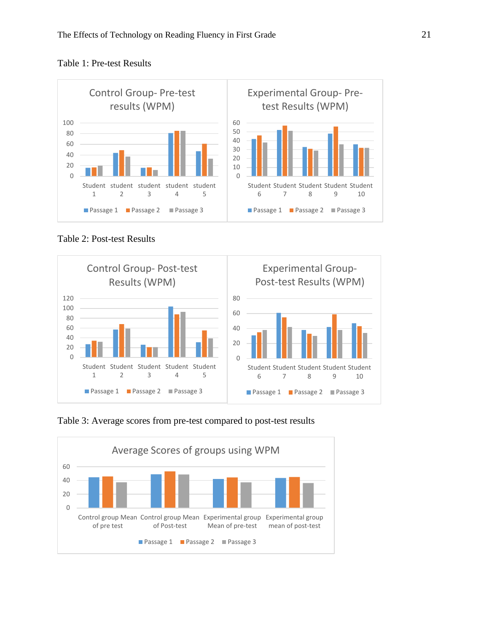



Table 2: Post-test Results



Table 3: Average scores from pre-test compared to post-test results

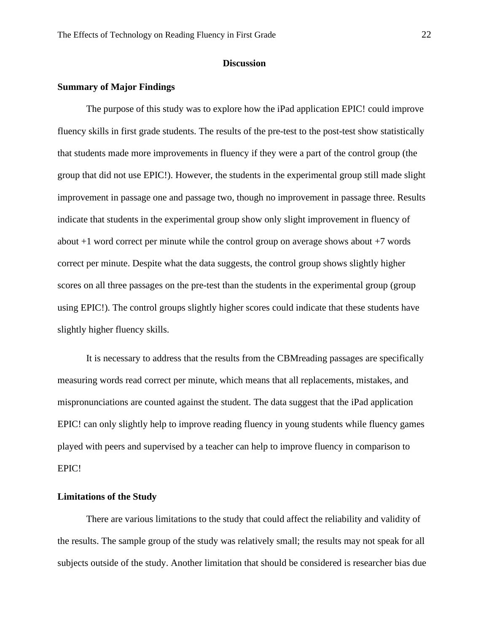# **Discussion**

#### **Summary of Major Findings**

The purpose of this study was to explore how the iPad application EPIC! could improve fluency skills in first grade students. The results of the pre-test to the post-test show statistically that students made more improvements in fluency if they were a part of the control group (the group that did not use EPIC!). However, the students in the experimental group still made slight improvement in passage one and passage two, though no improvement in passage three. Results indicate that students in the experimental group show only slight improvement in fluency of about +1 word correct per minute while the control group on average shows about +7 words correct per minute. Despite what the data suggests, the control group shows slightly higher scores on all three passages on the pre-test than the students in the experimental group (group using EPIC!). The control groups slightly higher scores could indicate that these students have slightly higher fluency skills.

It is necessary to address that the results from the CBMreading passages are specifically measuring words read correct per minute, which means that all replacements, mistakes, and mispronunciations are counted against the student. The data suggest that the iPad application EPIC! can only slightly help to improve reading fluency in young students while fluency games played with peers and supervised by a teacher can help to improve fluency in comparison to EPIC!

# **Limitations of the Study**

There are various limitations to the study that could affect the reliability and validity of the results. The sample group of the study was relatively small; the results may not speak for all subjects outside of the study. Another limitation that should be considered is researcher bias due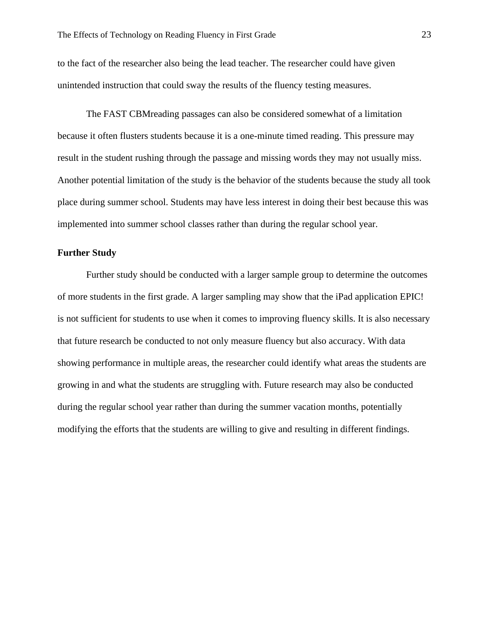to the fact of the researcher also being the lead teacher. The researcher could have given unintended instruction that could sway the results of the fluency testing measures.

The FAST CBMreading passages can also be considered somewhat of a limitation because it often flusters students because it is a one-minute timed reading. This pressure may result in the student rushing through the passage and missing words they may not usually miss. Another potential limitation of the study is the behavior of the students because the study all took place during summer school. Students may have less interest in doing their best because this was implemented into summer school classes rather than during the regular school year.

#### **Further Study**

Further study should be conducted with a larger sample group to determine the outcomes of more students in the first grade. A larger sampling may show that the iPad application EPIC! is not sufficient for students to use when it comes to improving fluency skills. It is also necessary that future research be conducted to not only measure fluency but also accuracy. With data showing performance in multiple areas, the researcher could identify what areas the students are growing in and what the students are struggling with. Future research may also be conducted during the regular school year rather than during the summer vacation months, potentially modifying the efforts that the students are willing to give and resulting in different findings.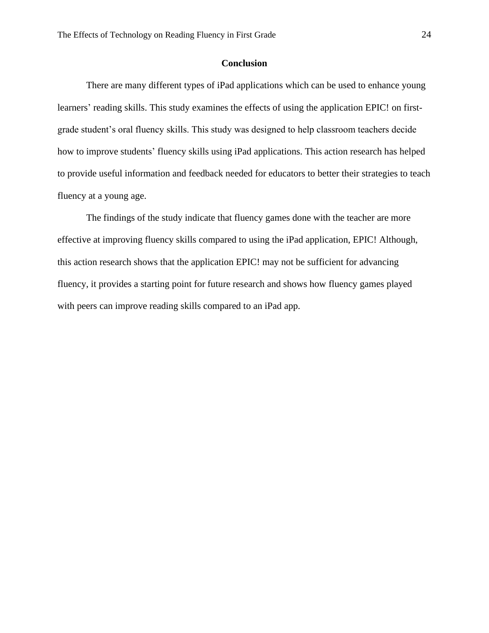## **Conclusion**

There are many different types of iPad applications which can be used to enhance young learners' reading skills. This study examines the effects of using the application EPIC! on firstgrade student's oral fluency skills. This study was designed to help classroom teachers decide how to improve students' fluency skills using iPad applications. This action research has helped to provide useful information and feedback needed for educators to better their strategies to teach fluency at a young age.

The findings of the study indicate that fluency games done with the teacher are more effective at improving fluency skills compared to using the iPad application, EPIC! Although, this action research shows that the application EPIC! may not be sufficient for advancing fluency, it provides a starting point for future research and shows how fluency games played with peers can improve reading skills compared to an iPad app.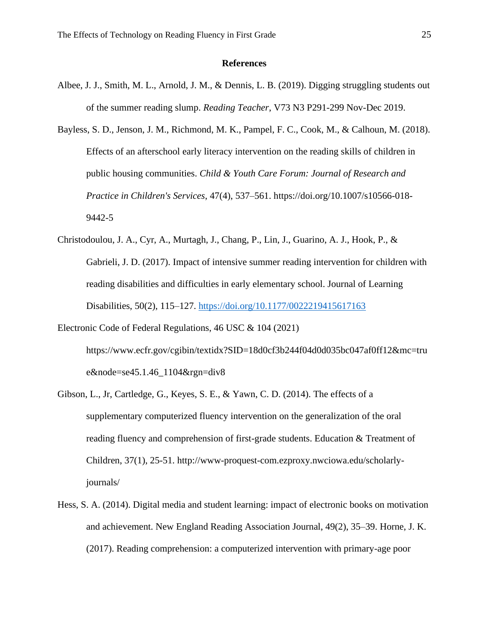#### **References**

- Albee, J. J., Smith, M. L., Arnold, J. M., & Dennis, L. B. (2019). Digging struggling students out of the summer reading slump. *Reading Teacher*, V73 N3 P291-299 Nov-Dec 2019.
- Bayless, S. D., Jenson, J. M., Richmond, M. K., Pampel, F. C., Cook, M., & Calhoun, M. (2018). Effects of an afterschool early literacy intervention on the reading skills of children in public housing communities. *Child & Youth Care Forum: Journal of Research and Practice in Children's Services*, 47(4), 537–561. https://doi.org/10.1007/s10566-018- 9442-5
- Christodoulou, J. A., Cyr, A., Murtagh, J., Chang, P., Lin, J., Guarino, A. J., Hook, P., & Gabrieli, J. D. (2017). Impact of intensive summer reading intervention for children with reading disabilities and difficulties in early elementary school. Journal of Learning Disabilities, 50(2), 115–127.<https://doi.org/10.1177/0022219415617163>
- Electronic Code of Federal Regulations, 46 USC & 104 (2021) https://www.ecfr.gov/cgibin/textidx?SID=18d0cf3b244f04d0d035bc047af0ff12&mc=tru e&node=se45.1.46\_1104&rgn=div8
- Gibson, L., Jr, Cartledge, G., Keyes, S. E., & Yawn, C. D. (2014). The effects of a supplementary computerized fluency intervention on the generalization of the oral reading fluency and comprehension of first-grade students. Education & Treatment of Children, 37(1), 25-51. http://www-proquest-com.ezproxy.nwciowa.edu/scholarlyjournals/
- Hess, S. A. (2014). Digital media and student learning: impact of electronic books on motivation and achievement. New England Reading Association Journal, 49(2), 35–39. Horne, J. K. (2017). Reading comprehension: a computerized intervention with primary-age poor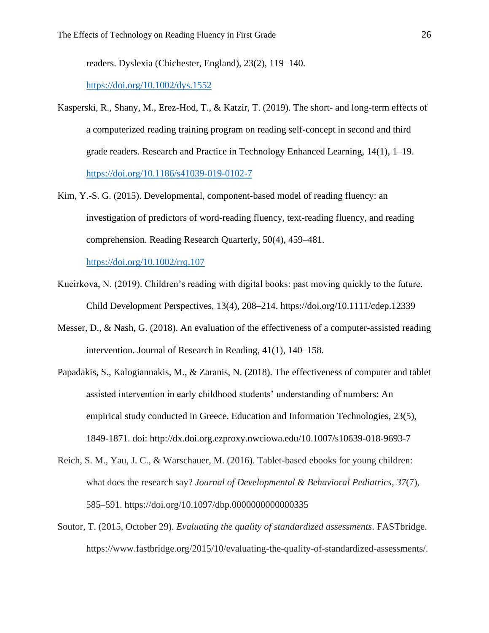readers. Dyslexia (Chichester, England), 23(2), 119–140.

#### <https://doi.org/10.1002/dys.1552>

- Kasperski, R., Shany, M., Erez-Hod, T., & Katzir, T. (2019). The short- and long-term effects of a computerized reading training program on reading self-concept in second and third grade readers. Research and Practice in Technology Enhanced Learning, 14(1), 1–19. <https://doi.org/10.1186/s41039-019-0102-7>
- Kim, Y.-S. G. (2015). Developmental, component-based model of reading fluency: an investigation of predictors of word-reading fluency, text-reading fluency, and reading comprehension. Reading Research Quarterly, 50(4), 459–481.

<https://doi.org/10.1002/rrq.107>

- Kucirkova, N. (2019). Children's reading with digital books: past moving quickly to the future. Child Development Perspectives, 13(4), 208–214. https://doi.org/10.1111/cdep.12339
- Messer, D., & Nash, G. (2018). An evaluation of the effectiveness of a computer-assisted reading intervention. Journal of Research in Reading, 41(1), 140–158.
- Papadakis, S., Kalogiannakis, M., & Zaranis, N. (2018). The effectiveness of computer and tablet assisted intervention in early childhood students' understanding of numbers: An empirical study conducted in Greece. Education and Information Technologies, 23(5), 1849-1871. doi: http://dx.doi.org.ezproxy.nwciowa.edu/10.1007/s10639-018-9693-7
- Reich, S. M., Yau, J. C., & Warschauer, M. (2016). Tablet-based ebooks for young children: what does the research say? *Journal of Developmental & Behavioral Pediatrics*, *37*(7), 585–591. https://doi.org/10.1097/dbp.0000000000000335
- Soutor, T. (2015, October 29). *Evaluating the quality of standardized assessments*. FASTbridge. https://www.fastbridge.org/2015/10/evaluating-the-quality-of-standardized-assessments/.